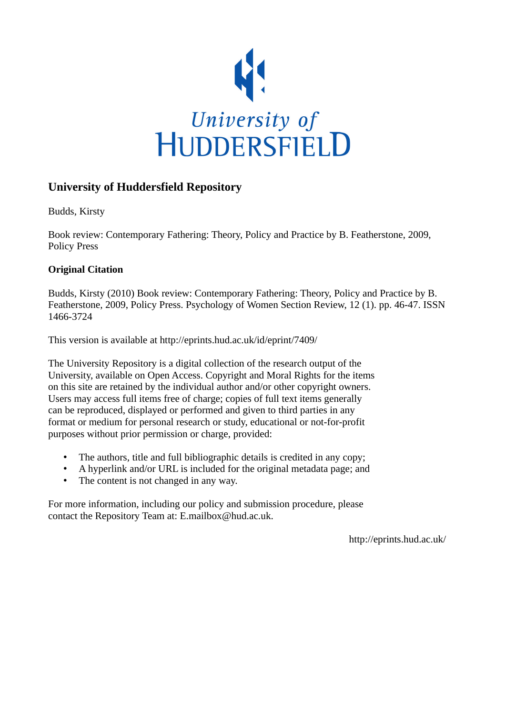

## **University of Huddersfield Repository**

Budds, Kirsty

Book review: Contemporary Fathering: Theory, Policy and Practice by B. Featherstone, 2009, Policy Press

## **Original Citation**

Budds, Kirsty (2010) Book review: Contemporary Fathering: Theory, Policy and Practice by B. Featherstone, 2009, Policy Press. Psychology of Women Section Review, 12 (1). pp. 46-47. ISSN 1466-3724

This version is available at http://eprints.hud.ac.uk/id/eprint/7409/

The University Repository is a digital collection of the research output of the University, available on Open Access. Copyright and Moral Rights for the items on this site are retained by the individual author and/or other copyright owners. Users may access full items free of charge; copies of full text items generally can be reproduced, displayed or performed and given to third parties in any format or medium for personal research or study, educational or not-for-profit purposes without prior permission or charge, provided:

- The authors, title and full bibliographic details is credited in any copy;
- A hyperlink and/or URL is included for the original metadata page; and
- The content is not changed in any way.

For more information, including our policy and submission procedure, please contact the Repository Team at: E.mailbox@hud.ac.uk.

http://eprints.hud.ac.uk/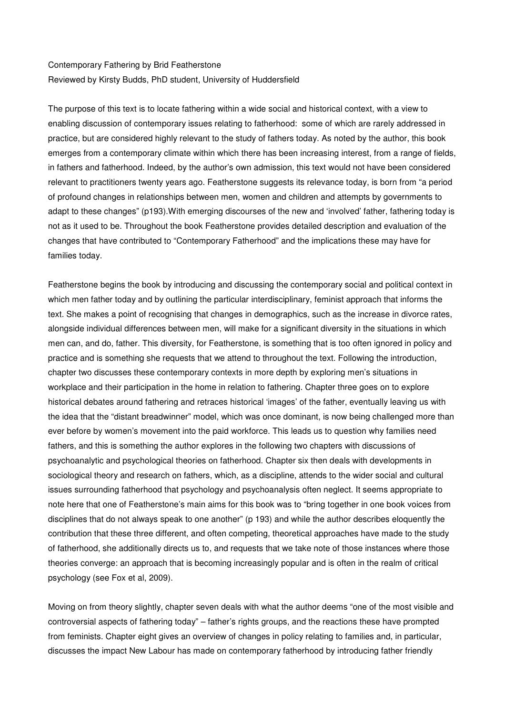## Contemporary Fathering by Brid Featherstone Reviewed by Kirsty Budds, PhD student, University of Huddersfield

The purpose of this text is to locate fathering within a wide social and historical context, with a view to enabling discussion of contemporary issues relating to fatherhood: some of which are rarely addressed in practice, but are considered highly relevant to the study of fathers today. As noted by the author, this book emerges from a contemporary climate within which there has been increasing interest, from a range of fields, in fathers and fatherhood. Indeed, by the author's own admission, this text would not have been considered relevant to practitioners twenty years ago. Featherstone suggests its relevance today, is born from "a period of profound changes in relationships between men, women and children and attempts by governments to adapt to these changes" (p193).With emerging discourses of the new and 'involved' father, fathering today is not as it used to be. Throughout the book Featherstone provides detailed description and evaluation of the changes that have contributed to "Contemporary Fatherhood" and the implications these may have for families today.

Featherstone begins the book by introducing and discussing the contemporary social and political context in which men father today and by outlining the particular interdisciplinary, feminist approach that informs the text. She makes a point of recognising that changes in demographics, such as the increase in divorce rates, alongside individual differences between men, will make for a significant diversity in the situations in which men can, and do, father. This diversity, for Featherstone, is something that is too often ignored in policy and practice and is something she requests that we attend to throughout the text. Following the introduction, chapter two discusses these contemporary contexts in more depth by exploring men's situations in workplace and their participation in the home in relation to fathering. Chapter three goes on to explore historical debates around fathering and retraces historical 'images' of the father, eventually leaving us with the idea that the "distant breadwinner" model, which was once dominant, is now being challenged more than ever before by women's movement into the paid workforce. This leads us to question why families need fathers, and this is something the author explores in the following two chapters with discussions of psychoanalytic and psychological theories on fatherhood. Chapter six then deals with developments in sociological theory and research on fathers, which, as a discipline, attends to the wider social and cultural issues surrounding fatherhood that psychology and psychoanalysis often neglect. It seems appropriate to note here that one of Featherstone's main aims for this book was to "bring together in one book voices from disciplines that do not always speak to one another" (p 193) and while the author describes eloquently the contribution that these three different, and often competing, theoretical approaches have made to the study of fatherhood, she additionally directs us to, and requests that we take note of those instances where those theories converge: an approach that is becoming increasingly popular and is often in the realm of critical psychology (see Fox et al, 2009).

Moving on from theory slightly, chapter seven deals with what the author deems "one of the most visible and controversial aspects of fathering today" – father's rights groups, and the reactions these have prompted from feminists. Chapter eight gives an overview of changes in policy relating to families and, in particular, discusses the impact New Labour has made on contemporary fatherhood by introducing father friendly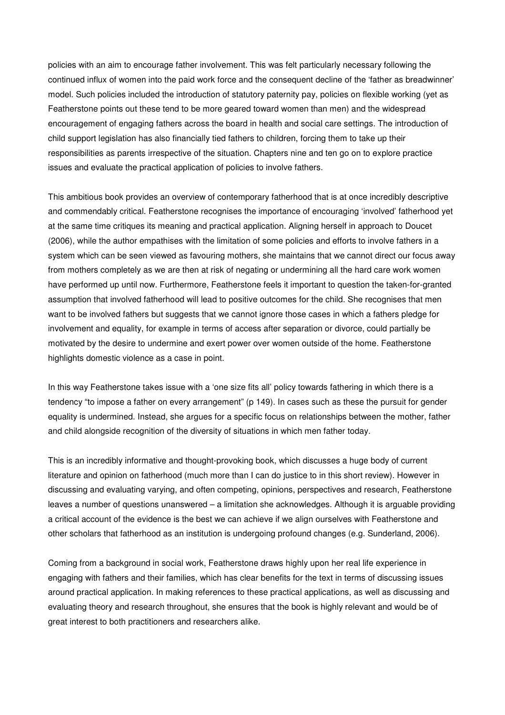policies with an aim to encourage father involvement. This was felt particularly necessary following the continued influx of women into the paid work force and the consequent decline of the 'father as breadwinner' model. Such policies included the introduction of statutory paternity pay, policies on flexible working (yet as Featherstone points out these tend to be more geared toward women than men) and the widespread encouragement of engaging fathers across the board in health and social care settings. The introduction of child support legislation has also financially tied fathers to children, forcing them to take up their responsibilities as parents irrespective of the situation. Chapters nine and ten go on to explore practice issues and evaluate the practical application of policies to involve fathers.

This ambitious book provides an overview of contemporary fatherhood that is at once incredibly descriptive and commendably critical. Featherstone recognises the importance of encouraging 'involved' fatherhood yet at the same time critiques its meaning and practical application. Aligning herself in approach to Doucet (2006), while the author empathises with the limitation of some policies and efforts to involve fathers in a system which can be seen viewed as favouring mothers, she maintains that we cannot direct our focus away from mothers completely as we are then at risk of negating or undermining all the hard care work women have performed up until now. Furthermore, Featherstone feels it important to question the taken-for-granted assumption that involved fatherhood will lead to positive outcomes for the child. She recognises that men want to be involved fathers but suggests that we cannot ignore those cases in which a fathers pledge for involvement and equality, for example in terms of access after separation or divorce, could partially be motivated by the desire to undermine and exert power over women outside of the home. Featherstone highlights domestic violence as a case in point.

In this way Featherstone takes issue with a 'one size fits all' policy towards fathering in which there is a tendency "to impose a father on every arrangement" (p 149). In cases such as these the pursuit for gender equality is undermined. Instead, she argues for a specific focus on relationships between the mother, father and child alongside recognition of the diversity of situations in which men father today.

This is an incredibly informative and thought-provoking book, which discusses a huge body of current literature and opinion on fatherhood (much more than I can do justice to in this short review). However in discussing and evaluating varying, and often competing, opinions, perspectives and research, Featherstone leaves a number of questions unanswered – a limitation she acknowledges. Although it is arguable providing a critical account of the evidence is the best we can achieve if we align ourselves with Featherstone and other scholars that fatherhood as an institution is undergoing profound changes (e.g. Sunderland, 2006).

Coming from a background in social work, Featherstone draws highly upon her real life experience in engaging with fathers and their families, which has clear benefits for the text in terms of discussing issues around practical application. In making references to these practical applications, as well as discussing and evaluating theory and research throughout, she ensures that the book is highly relevant and would be of great interest to both practitioners and researchers alike.